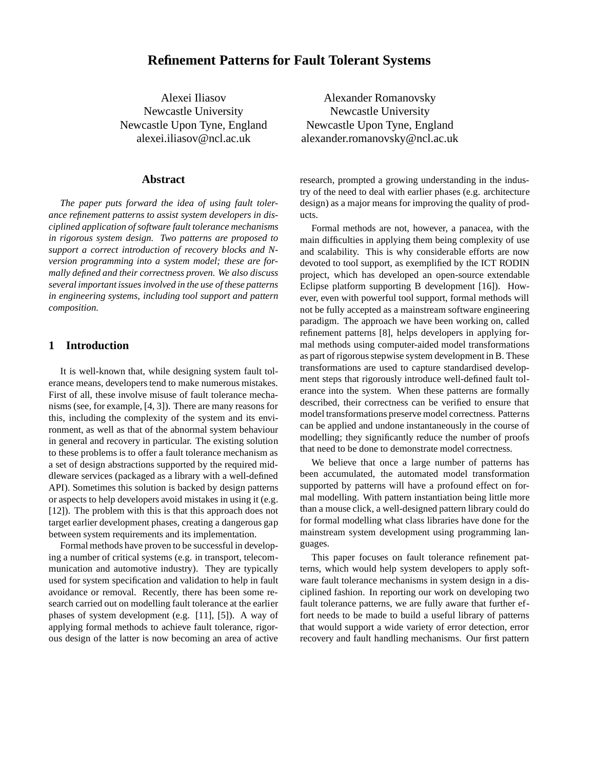# **Refinement Patterns for Fault Tolerant Systems**

Alexei Iliasov Newcastle University Newcastle Upon Tyne, England alexei.iliasov@ncl.ac.uk

#### **Abstract**

*The paper puts forward the idea of using fault tolerance refinement patterns to assist system developers in disciplined application of software fault tolerance mechanisms in rigorous system design. Two patterns are proposed to support a correct introduction of recovery blocks and Nversion programming into a system model; these are formally defined and their correctness proven. We also discuss several important issues involved in the use of these patterns in engineering systems, including tool support and pattern composition.*

#### **1 Introduction**

It is well-known that, while designing system fault tolerance means, developers tend to make numerous mistakes. First of all, these involve misuse of fault tolerance mechanisms (see, for example, [4, 3]). There are many reasons for this, including the complexity of the system and its environment, as well as that of the abnormal system behaviour in general and recovery in particular. The existing solution to these problems is to offer a fault tolerance mechanism as a set of design abstractions supported by the required middleware services (packaged as a library with a well-defined API). Sometimes this solution is backed by design patterns or aspects to help developers avoid mistakes in using it (e.g. [12]). The problem with this is that this approach does not target earlier development phases, creating a dangerous gap between system requirements and its implementation.

Formal methods have proven to be successful in developing a number of critical systems (e.g. in transport, telecommunication and automotive industry). They are typically used for system specification and validation to help in fault avoidance or removal. Recently, there has been some research carried out on modelling fault tolerance at the earlier phases of system development (e.g. [11], [5]). A way of applying formal methods to achieve fault tolerance, rigorous design of the latter is now becoming an area of active

Alexander Romanovsky Newcastle University Newcastle Upon Tyne, England alexander.romanovsky@ncl.ac.uk

research, prompted a growing understanding in the industry of the need to deal with earlier phases (e.g. architecture design) as a major means for improving the quality of products.

Formal methods are not, however, a panacea, with the main difficulties in applying them being complexity of use and scalability. This is why considerable efforts are now devoted to tool support, as exemplified by the ICT RODIN project, which has developed an open-source extendable Eclipse platform supporting B development [16]). However, even with powerful tool support, formal methods will not be fully accepted as a mainstream software engineering paradigm. The approach we have been working on, called refinement patterns [8], helps developers in applying formal methods using computer-aided model transformations as part of rigorous stepwise system development in B. These transformations are used to capture standardised development steps that rigorously introduce well-defined fault tolerance into the system. When these patterns are formally described, their correctness can be verified to ensure that model transformations preserve model correctness. Patterns can be applied and undone instantaneously in the course of modelling; they significantly reduce the number of proofs that need to be done to demonstrate model correctness.

We believe that once a large number of patterns has been accumulated, the automated model transformation supported by patterns will have a profound effect on formal modelling. With pattern instantiation being little more than a mouse click, a well-designed pattern library could do for formal modelling what class libraries have done for the mainstream system development using programming languages.

This paper focuses on fault tolerance refinement patterns, which would help system developers to apply software fault tolerance mechanisms in system design in a disciplined fashion. In reporting our work on developing two fault tolerance patterns, we are fully aware that further effort needs to be made to build a useful library of patterns that would support a wide variety of error detection, error recovery and fault handling mechanisms. Our first pattern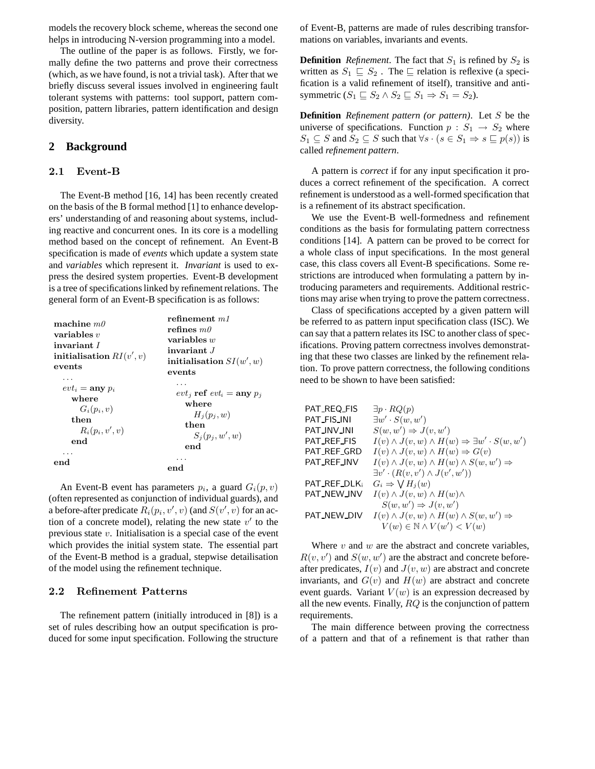models the recovery block scheme, whereas the second one helps in introducing N-version programming into a model.

The outline of the paper is as follows. Firstly, we formally define the two patterns and prove their correctness (which, as we have found, is not a trivial task). After that we briefly discuss several issues involved in engineering fault tolerant systems with patterns: tool support, pattern composition, pattern libraries, pattern identification and design diversity.

## **2 Background**

#### 2.1 Event-B

The Event-B method [16, 14] has been recently created on the basis of the B formal method [1] to enhance developers' understanding of and reasoning about systems, including reactive and concurrent ones. In its core is a modelling method based on the concept of refinement. An Event-B specification is made of *events* which update a system state and *variables* which represent it. *Invariant* is used to express the desired system properties. Event-B development is a tree of specifications linked by refinement relations. The general form of an Event-B specification is as follows:

| machine $m\theta$<br>variables $v$<br>invariant <i>I</i><br>initialisation $RI(v', v)$<br>events | refinement $m1$<br>refines $m\theta$<br>variables w<br>invariant J<br>initialisation $SI(w', w)$<br>events |
|--------------------------------------------------------------------------------------------------|------------------------------------------------------------------------------------------------------------|
| $evt_i = \textbf{any } p_i$<br>where<br>$G_i(p_i, v)$<br>then<br>$R_i(p_i, v', v)$<br>end        | $evt_i$ ref $evt_i = \text{any } p_i$<br>where<br>$H_i(p_i,w)$<br>then<br>$S_i(p_i, w', w)$<br>end         |
|                                                                                                  |                                                                                                            |

An Event-B event has parameters  $p_i$ , a guard  $G_i(p, v)$ (often represented as conjunction of individual guards), and a before-after predicate  $\overline{R}_i(p_i, v', v)$  (and  $S(v', v)$  for an action of a concrete model), relating the new state  $v'$  to the previous state  $v$ . Initialisation is a special case of the event which provides the initial system state. The essential part of the Event-B method is a gradual, stepwise detailisation of the model using the refinement technique.

#### 2.2 Refinement Patterns

The refinement pattern (initially introduced in [8]) is a set of rules describing how an output specification is produced for some input specification. Following the structure of Event-B, patterns are made of rules describing transformations on variables, invariants and events.

**Definition** *Refinement*. The fact that  $S_1$  is refined by  $S_2$  is written as  $S_1 \subseteq S_2$ . The  $\subseteq$  relation is reflexive (a specification is a valid refinement of itself), transitive and antisymmetric  $(S_1 \sqsubseteq S_2 \land S_2 \sqsubseteq S_1 \Rightarrow S_1 = S_2).$ 

**Definition** *Refinement pattern (or pattern)*. Let S be the universe of specifications. Function  $p : S_1 \rightarrow S_2$  where  $S_1 \subseteq S$  and  $S_2 \subseteq S$  such that  $\forall s \cdot (s \in S_1 \Rightarrow s \sqsubseteq p(s))$  is called *refinement pattern*.

A pattern is *correct* if for any input specification it produces a correct refinement of the specification. A correct refinement is understood as a well-formed specification that is a refinement of its abstract specification.

We use the Event-B well-formedness and refinement conditions as the basis for formulating pattern correctness conditions [14]. A pattern can be proved to be correct for a whole class of input specifications. In the most general case, this class covers all Event-B specifications. Some restrictions are introduced when formulating a pattern by introducing parameters and requirements. Additional restrictions may arise when trying to prove the pattern correctness.

Class of specifications accepted by a given pattern will be referred to as pattern input specification class (ISC). We can say that a pattern relates its ISC to another class of specifications. Proving pattern correctness involves demonstrating that these two classes are linked by the refinement relation. To prove pattern correctness, the following conditions need to be shown to have been satisfied:

| PAT_REQ_FIS        | $\exists p \cdot RQ(p)$                                                 |
|--------------------|-------------------------------------------------------------------------|
| PAT_FIS_INI        | $\exists w' \cdot S(w,w')$                                              |
| PAT_INV_INI        | $S(w, w') \Rightarrow J(v, w')$                                         |
| PAT_REF_FIS        | $I(v) \wedge J(v, w) \wedge H(w) \Rightarrow \exists w' \cdot S(w, w')$ |
| PAT_REF_GRD        | $I(v) \wedge J(v, w) \wedge H(w) \Rightarrow G(v)$                      |
| PAT_REF_INV        | $I(v) \wedge J(v, w) \wedge H(w) \wedge S(w, w') \Rightarrow$           |
|                    | $\exists v' \cdot (R(v, v') \wedge J(v', w'))$                          |
| PAT_REF_DLK;       | $G_i \Rightarrow \bigvee H_i(w)$                                        |
| <b>PAT_NEW_INV</b> | $I(v) \wedge J(v, w) \wedge H(w) \wedge$                                |
|                    | $S(w, w') \Rightarrow J(v, w')$                                         |
| PAT_NEW_DIV        | $I(v) \wedge J(v, w) \wedge H(w) \wedge S(w, w') \Rightarrow$           |
|                    | $V(w) \in \mathbb{N} \wedge V(w') < V(w)$                               |
|                    |                                                                         |

Where  $v$  and  $w$  are the abstract and concrete variables,  $R(v, v')$  and  $S(w, w')$  are the abstract and concrete beforeafter predicates,  $I(v)$  and  $J(v, w)$  are abstract and concrete invariants, and  $G(v)$  and  $H(w)$  are abstract and concrete event guards. Variant  $V(w)$  is an expression decreased by all the new events. Finally,  $RQ$  is the conjunction of pattern requirements.

The main difference between proving the correctness of a pattern and that of a refinement is that rather than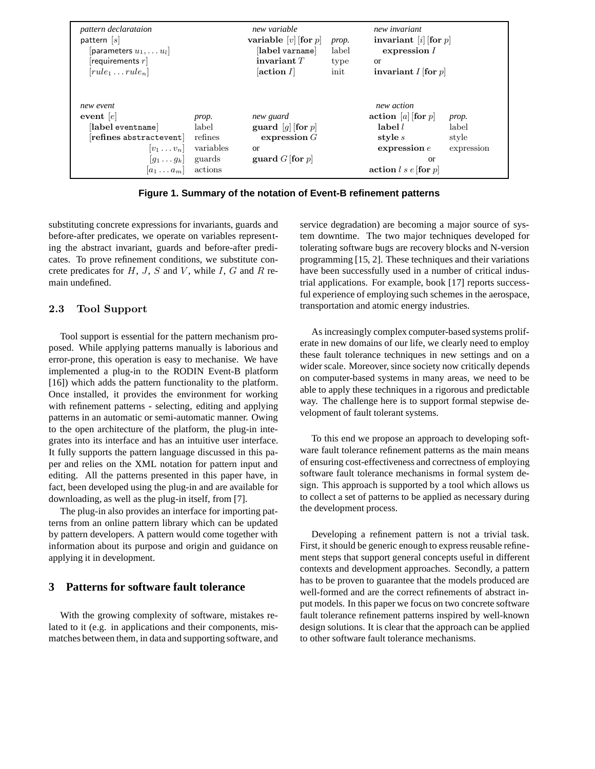| pattern declarataion<br>pattern $ s $<br>  parameters $u_1, \ldots u_l$  <br>[requirements $r\vert$<br>$[rule_1 \dots rule_n]$         |                                                             | new variable<br>variable $[v]$ for $p$<br>[label varname]<br>invariant $T$<br>$ {\bf action}\ I $ | prop.<br>label<br>type<br>init | new invariant<br>invariant  i  $\left  \text{for } p \right $<br>expression $I$<br><b>or</b><br>invariant $I$ for $p$                                       |                                       |
|----------------------------------------------------------------------------------------------------------------------------------------|-------------------------------------------------------------|---------------------------------------------------------------------------------------------------|--------------------------------|-------------------------------------------------------------------------------------------------------------------------------------------------------------|---------------------------------------|
| new event<br>event $ e $<br>[label eventname]<br>refines abstractevent<br>$ v_1 \dots v_n $<br>$ g_1 \dots g_k $<br>$[a_1 \ldots a_m]$ | prop.<br>label<br>refines<br>variables<br>guards<br>actions | new guard<br>guard $[g]$ for $p$<br>expression $G$<br><b>or</b><br>guard G for $p$                |                                | new action<br>action [a] [for $p$ ]<br>label <i>l</i><br>style $s$<br>$ext{expression } e$<br>or<br>$\mathbf{action} \, l \, s \, e \, [\mathbf{for} \, p]$ | prop.<br>label<br>style<br>expression |

**Figure 1. Summary of the notation of Event-B refinement patterns**

substituting concrete expressions for invariants, guards and before-after predicates, we operate on variables representing the abstract invariant, guards and before-after predicates. To prove refinement conditions, we substitute concrete predicates for  $H$ ,  $J$ ,  $S$  and  $V$ , while  $I$ ,  $G$  and  $R$  remain undefined.

### 2.3 Tool Support

Tool support is essential for the pattern mechanism proposed. While applying patterns manually is laborious and error-prone, this operation is easy to mechanise. We have implemented a plug-in to the RODIN Event-B platform [16]) which adds the pattern functionality to the platform. Once installed, it provides the environment for working with refinement patterns - selecting, editing and applying patterns in an automatic or semi-automatic manner. Owing to the open architecture of the platform, the plug-in integrates into its interface and has an intuitive user interface. It fully supports the pattern language discussed in this paper and relies on the XML notation for pattern input and editing. All the patterns presented in this paper have, in fact, been developed using the plug-in and are available for downloading, as well as the plug-in itself, from [7].

The plug-in also provides an interface for importing patterns from an online pattern library which can be updated by pattern developers. A pattern would come together with information about its purpose and origin and guidance on applying it in development.

## **3 Patterns for software fault tolerance**

With the growing complexity of software, mistakes related to it (e.g. in applications and their components, mismatches between them, in data and supporting software, and service degradation) are becoming a major source of system downtime. The two major techniques developed for tolerating software bugs are recovery blocks and N-version programming [15, 2]. These techniques and their variations have been successfully used in a number of critical industrial applications. For example, book [17] reports successful experience of employing such schemes in the aerospace, transportation and atomic energy industries.

As increasingly complex computer-based systems proliferate in new domains of our life, we clearly need to employ these fault tolerance techniques in new settings and on a wider scale. Moreover, since society now critically depends on computer-based systems in many areas, we need to be able to apply these techniques in a rigorous and predictable way. The challenge here is to support formal stepwise development of fault tolerant systems.

To this end we propose an approach to developing software fault tolerance refinement patterns as the main means of ensuring cost-effectiveness and correctness of employing software fault tolerance mechanisms in formal system design. This approach is supported by a tool which allows us to collect a set of patterns to be applied as necessary during the development process.

Developing a refinement pattern is not a trivial task. First, it should be generic enough to express reusable refinement steps that support general concepts useful in different contexts and development approaches. Secondly, a pattern has to be proven to guarantee that the models produced are well-formed and are the correct refinements of abstract input models. In this paper we focus on two concrete software fault tolerance refinement patterns inspired by well-known design solutions. It is clear that the approach can be applied to other software fault tolerance mechanisms.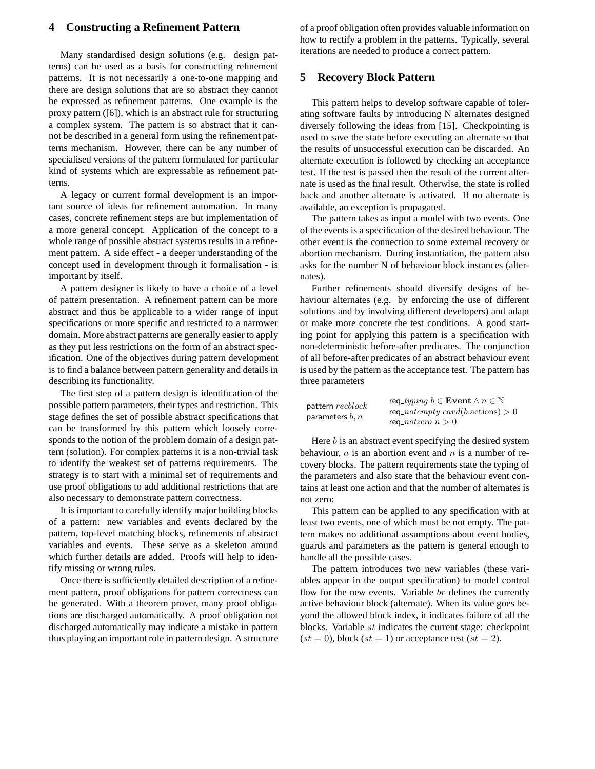#### **4 Constructing a Refinement Pattern**

Many standardised design solutions (e.g. design patterns) can be used as a basis for constructing refinement patterns. It is not necessarily a one-to-one mapping and there are design solutions that are so abstract they cannot be expressed as refinement patterns. One example is the proxy pattern ([6]), which is an abstract rule for structuring a complex system. The pattern is so abstract that it cannot be described in a general form using the refinement patterns mechanism. However, there can be any number of specialised versions of the pattern formulated for particular kind of systems which are expressable as refinement patterns.

A legacy or current formal development is an important source of ideas for refinement automation. In many cases, concrete refinement steps are but implementation of a more general concept. Application of the concept to a whole range of possible abstract systems results in a refinement pattern. A side effect - a deeper understanding of the concept used in development through it formalisation - is important by itself.

A pattern designer is likely to have a choice of a level of pattern presentation. A refinement pattern can be more abstract and thus be applicable to a wider range of input specifications or more specific and restricted to a narrower domain. More abstract patterns are generally easier to apply as they put less restrictions on the form of an abstract specification. One of the objectives during pattern development is to find a balance between pattern generality and details in describing its functionality.

The first step of a pattern design is identification of the possible pattern parameters, their types and restriction. This stage defines the set of possible abstract specifications that can be transformed by this pattern which loosely corresponds to the notion of the problem domain of a design pattern (solution). For complex patterns it is a non-trivial task to identify the weakest set of patterns requirements. The strategy is to start with a minimal set of requirements and use proof obligations to add additional restrictions that are also necessary to demonstrate pattern correctness.

It is important to carefully identify major building blocks of a pattern: new variables and events declared by the pattern, top-level matching blocks, refinements of abstract variables and events. These serve as a skeleton around which further details are added. Proofs will help to identify missing or wrong rules.

Once there is sufficiently detailed description of a refinement pattern, proof obligations for pattern correctness can be generated. With a theorem prover, many proof obligations are discharged automatically. A proof obligation not discharged automatically may indicate a mistake in pattern thus playing an important role in pattern design. A structure of a proof obligation often provides valuable information on how to rectify a problem in the patterns. Typically, several iterations are needed to produce a correct pattern.

#### **5 Recovery Block Pattern**

This pattern helps to develop software capable of tolerating software faults by introducing N alternates designed diversely following the ideas from [15]. Checkpointing is used to save the state before executing an alternate so that the results of unsuccessful execution can be discarded. An alternate execution is followed by checking an acceptance test. If the test is passed then the result of the current alternate is used as the final result. Otherwise, the state is rolled back and another alternate is activated. If no alternate is available, an exception is propagated.

The pattern takes as input a model with two events. One of the events is a specification of the desired behaviour. The other event is the connection to some external recovery or abortion mechanism. During instantiation, the pattern also asks for the number N of behaviour block instances (alternates).

Further refinements should diversify designs of behaviour alternates (e.g. by enforcing the use of different solutions and by involving different developers) and adapt or make more concrete the test conditions. A good starting point for applying this pattern is a specification with non-deterministic before-after predicates. The conjunction of all before-after predicates of an abstract behaviour event is used by the pattern as the acceptance test. The pattern has three parameters

| pattern $recblock$<br>parameters $b,n$ | req_typing $b \in$ Event $\wedge n \in \mathbb{N}$ |
|----------------------------------------|----------------------------------------------------|
|                                        | req_notempty card(b.actions) > 0                   |
|                                        | req_notzero $n > 0$                                |

Here  $b$  is an abstract event specifying the desired system behaviour,  $\alpha$  is an abortion event and  $n$  is a number of recovery blocks. The pattern requirements state the typing of the parameters and also state that the behaviour event contains at least one action and that the number of alternates is not zero:

This pattern can be applied to any specification with at least two events, one of which must be not empty. The pattern makes no additional assumptions about event bodies, guards and parameters as the pattern is general enough to handle all the possible cases.

The pattern introduces two new variables (these variables appear in the output specification) to model control flow for the new events. Variable br defines the currently active behaviour block (alternate). When its value goes beyond the allowed block index, it indicates failure of all the blocks. Variable st indicates the current stage: checkpoint  $(st = 0)$ , block  $(st = 1)$  or acceptance test  $(st = 2)$ .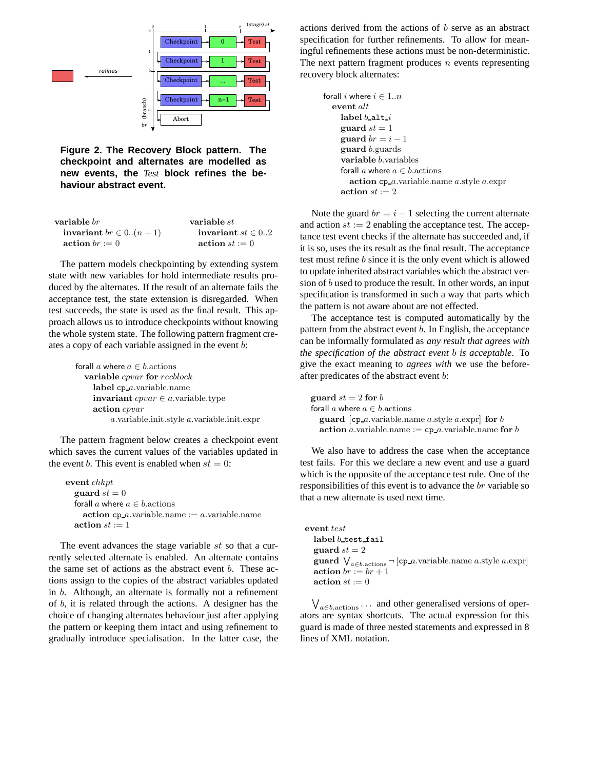

**Figure 2. The Recovery Block pattern. The checkpoint and alternates are modelled as new events, the** *Test* **block refines the behaviour abstract event.**

| variable br                 | variable $st$         |
|-----------------------------|-----------------------|
| invariant $br \in 0(n + 1)$ | invariant $st \in 02$ |
| action $br := 0$            | $\arctan st := 0$     |

The pattern models checkpointing by extending system state with new variables for hold intermediate results produced by the alternates. If the result of an alternate fails the acceptance test, the state extension is disregarded. When test succeeds, the state is used as the final result. This approach allows us to introduce checkpoints without knowing the whole system state. The following pattern fragment creates a copy of each variable assigned in the event b:

```
forall a where a \in b actions
  variable cpvar for recblock
    label cp a.variable.name
    invariant c\nu a \in a.variable.type
    action cpvar
         a.variable.init.style a.variable.init.expr
```
The pattern fragment below creates a checkpoint event which saves the current values of the variables updated in the event b. This event is enabled when  $st = 0$ :

event chkpt guard  $st = 0$ forall a where  $a \in b$  actions action  $cp_a$ .variable.name  $:= a$ .variable.name action  $st := 1$ 

The event advances the stage variable st so that a currently selected alternate is enabled. An alternate contains the same set of actions as the abstract event  $b$ . These actions assign to the copies of the abstract variables updated in b. Although, an alternate is formally not a refinement of b, it is related through the actions. A designer has the choice of changing alternates behaviour just after applying the pattern or keeping them intact and using refinement to gradually introduce specialisation. In the latter case, the actions derived from the actions of b serve as an abstract specification for further refinements. To allow for meaningful refinements these actions must be non-deterministic. The next pattern fragment produces  $n$  events representing recovery block alternates:

> forall  $i$  where  $i \in 1..n$ event alt label  $b$  alt  $i$ guard  $st = 1$ guard  $br = i - 1$ guard b.guards variable b.variables forall a where  $a \in b$  actions action cp a.variable.name a.style a.expr action  $st \coloneqq 2$

Note the guard  $br = i - 1$  selecting the current alternate and action  $st := 2$  enabling the acceptance test. The acceptance test event checks if the alternate has succeeded and, if it is so, uses the its result as the final result. The acceptance test must refine b since it is the only event which is allowed to update inherited abstract variables which the abstract version of  $b$  used to produce the result. In other words, an input specification is transformed in such a way that parts which the pattern is not aware about are not effected.

The acceptance test is computed automatically by the pattern from the abstract event b. In English, the acceptance can be informally formulated as *any result that agrees with the specification of the abstract event* b *is acceptable*. To give the exact meaning to *agrees with* we use the beforeafter predicates of the abstract event b:

guard  $st = 2$  for b forall a where  $a \in b$  actions guard  $[cp_a$ .variable.name a.style a.expr] for b **action** a.variable.name  $:=$  cp a.variable.name for b

We also have to address the case when the acceptance test fails. For this we declare a new event and use a guard which is the opposite of the acceptance test rule. One of the responsibilities of this event is to advance the br variable so that a new alternate is used next time.

event test label  $b$  test fail guard  $st = 2$ guard  $\bigvee_{a\in b.\text{actions}}\neg$  [cp\_a.variable.name a.style a.expr] action  $br := br + 1$ action  $st := 0$ 

 $\bigvee_{a \in b \text{.actions}} \ldots$  and other generalised versions of operators are syntax shortcuts. The actual expression for this guard is made of three nested statements and expressed in 8 lines of XML notation.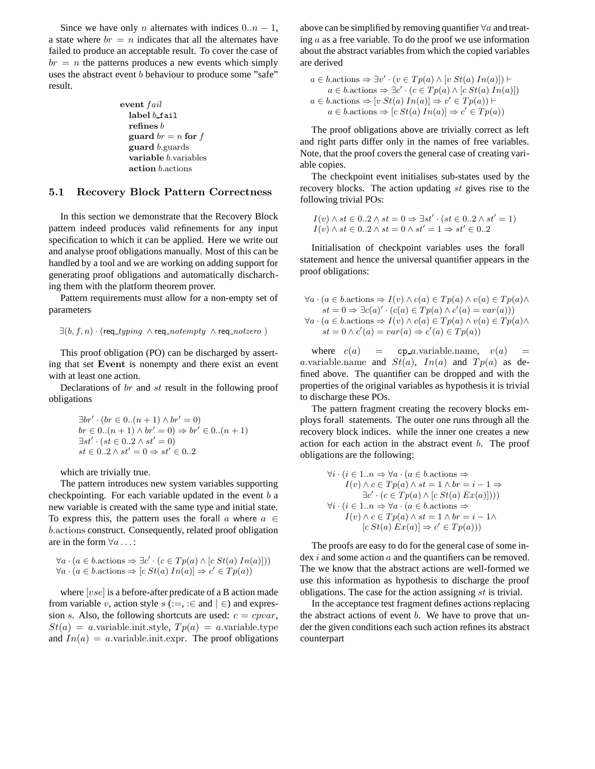Since we have only *n* alternates with indices  $0..n - 1$ , a state where  $br = n$  indicates that all the alternates have failed to produce an acceptable result. To cover the case of  $br = n$  the patterns produces a new events which simply uses the abstract event *b* behaviour to produce some "safe" result.

> event fail label  $b$  fail refines b guard  $br = n$  for f guard b.guards variable b.variables action  *actions*

## 5.1 Recovery Block Pattern Correctness

In this section we demonstrate that the Recovery Block pattern indeed produces valid refinements for any input specification to which it can be applied. Here we write out and analyse proof obligations manually. Most of this can be handled by a tool and we are working on adding support for generating proof obligations and automatically discharching them with the platform theorem prover.

Pattern requirements must allow for a non-empty set of parameters

```
\exists (b, f, n) \cdot (req\_typing \wedge req\_notempty \wedge req\_notzero)
```
This proof obligation (PO) can be discharged by asserting that set Event is nonempty and there exist an event with at least one action.

Declarations of br and st result in the following proof obligations

$$
\exists br' \cdot (br \in 0..(n+1) \land br' = 0)
$$
  

$$
br \in 0..(n+1) \land br' = 0) \Rightarrow br' \in 0..(n+1)
$$
  

$$
\exists st' \cdot (st \in 0..2 \land st' = 0)
$$
  

$$
st \in 0..2 \land st' = 0 \Rightarrow st' \in 0..2
$$

which are trivially true.

The pattern introduces new system variables supporting checkpointing. For each variable updated in the event  $b$  a new variable is created with the same type and initial state. To express this, the pattern uses the forall a where  $a \in$ b.actions construct. Consequently, related proof obligation are in the form  $\forall a \dots$ :

 $\forall a \cdot (a \in b \text{.actions} \Rightarrow \exists c' \cdot (c \in Tp(a) \land [c \, St(a) \, In(a)]))$  $\forall a \cdot (a \in b \text{.actions} \Rightarrow [c \text{ } St(a) \text{ } In(a)] \Rightarrow c' \in Tp(a))$ 

where  $[use]$  is a before-after predicate of a B action made from variable v, action style  $s :=, : \in$  and  $| \in$ ) and expression s. Also, the following shortcuts are used:  $c = c\nu$  $St(a) = a$ .variable.init.style,  $Tp(a) = a$ .variable.type and  $In(a) = a$ .variable.init.expr. The proof obligations above can be simplified by removing quantifier  $\forall a$  and treating  $a$  as a free variable. To do the proof we use information about the abstract variables from which the copied variables are derived

 $a \in b$  actions  $\Rightarrow \exists v' \cdot (v \in Tp(a) \land [v \; St(a) \; In(a)]) \vdash$  $a \in b$  actions  $\Rightarrow \exists c' \cdot (c \in Tp(a) \land [c \; St(a) \; In(a)])$  $a \in b$  actions  $\Rightarrow$   $[v \, St(a) \, In(a)] \Rightarrow v' \in Tp(a))$  $a \in b$  actions  $\Rightarrow [c \, St(a) \, In(a)] \Rightarrow c' \in Tp(a)$ 

The proof obligations above are trivially correct as left and right parts differ only in the names of free variables. Note, that the proof covers the general case of creating variable copies.

The checkpoint event initialises sub-states used by the recovery blocks. The action updating st gives rise to the following trivial POs:

 $I(v) \wedge st \in 0..2 \wedge st = 0 \Rightarrow \exists st' \cdot (st \in 0..2 \wedge st' = 1)$  $I(v) \wedge st \in 0.2 \wedge st = 0 \wedge st' = 1 \Rightarrow st' \in 0.2$ 

Initialisation of checkpoint variables uses the forall statement and hence the universal quantifier appears in the proof obligations:

 $\forall a \cdot (a \in b \text{.actions} \Rightarrow I(v) \land c(a) \in Tp(a) \land v(a) \in Tp(a) \land$  $st = 0 \Rightarrow \exists c(a)' \cdot (c(a) \in Tp(a) \land c'(a) = var(a)))$  $\forall a \cdot (a \in b \text{.actions} \Rightarrow I(v) \land c(a) \in Tp(a) \land v(a) \in Tp(a) \land$  $st = 0 \wedge c'(a) = var(a) \Rightarrow c'(a) \in Tp(a)$ 

where  $c(a) = \text{cp}_a$ .variable.name,  $v(a)$ a.variable.name and  $St(a)$ ,  $In(a)$  and  $Tp(a)$  as defined above. The quantifier can be dropped and with the properties of the original variables as hypothesis it is trivial to discharge these POs.

The pattern fragment creating the recovery blocks employs forall statements. The outer one runs through all the recovery block indices. while the inner one creates a new action for each action in the abstract event b. The proof obligations are the following:

$$
\forall i \cdot (i \in 1..n \Rightarrow \forall a \cdot (a \in b \text{.actions} \Rightarrow
$$
  
\n
$$
I(v) \land c \in Tp(a) \land st = 1 \land br = i - 1 \Rightarrow
$$
  
\n
$$
\exists c' \cdot (c \in Tp(a) \land [c \; St(a) \; Ex(a)])))
$$
  
\n
$$
\forall i \cdot (i \in 1..n \Rightarrow \forall a \cdot (a \in b \text{.actions} \Rightarrow
$$
  
\n
$$
I(v) \land c \in Tp(a) \land st = 1 \land br = i - 1 \land
$$
  
\n
$$
[c \; St(a) \; Ex(a)] \Rightarrow c' \in Tp(a)))
$$

The proofs are easy to do for the general case of some index *i* and some action *a* and the quantifiers can be removed. The we know that the abstract actions are well-formed we use this information as hypothesis to discharge the proof obligations. The case for the action assigning  $st$  is trivial.

In the acceptance test fragment defines actions replacing the abstract actions of event  $b$ . We have to prove that under the given conditions each such action refines its abstract counterpart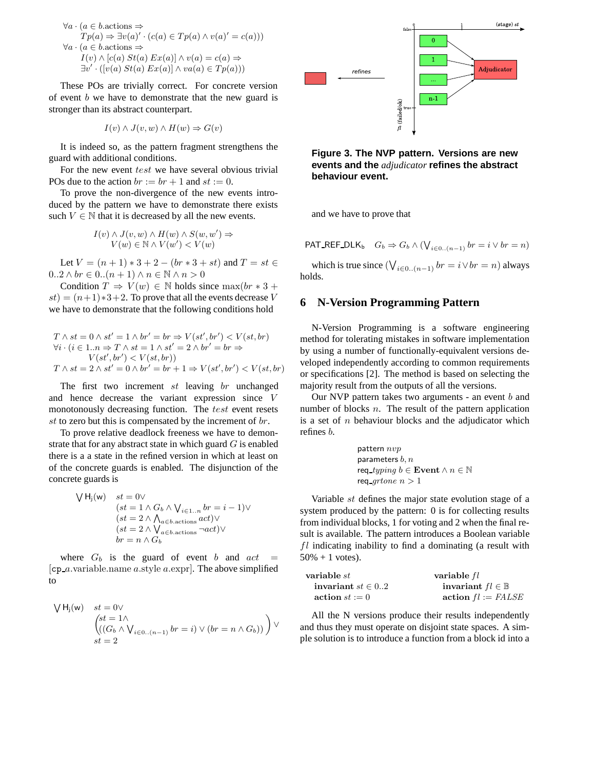$\forall a \cdot (a \in b.\text{actions} \Rightarrow$  $Tp(a) \Rightarrow \exists v(a)' \cdot (c(a) \in Tp(a) \land v(a)' = c(a)))$  $\forall a \cdot (a \in b.\text{actions} \Rightarrow$  $I(v) \wedge [c(a) \; St(a) \; Ex(a)] \wedge v(a) = c(a) \Rightarrow$  $\exists v' \cdot ( [v(a) \; St(a) \; Ex(a)] \land va(a) \in Tp(a)) )$ 

These POs are trivially correct. For concrete version of event  $b$  we have to demonstrate that the new guard is stronger than its abstract counterpart.

$$
I(v) \wedge J(v, w) \wedge H(w) \Rightarrow G(v)
$$

It is indeed so, as the pattern fragment strengthens the guard with additional conditions.

For the new event test we have several obvious trivial POs due to the action  $br := br + 1$  and  $st := 0$ .

To prove the non-divergence of the new events introduced by the pattern we have to demonstrate there exists such  $V \in \mathbb{N}$  that it is decreased by all the new events.

$$
I(v) \wedge J(v, w) \wedge H(w) \wedge S(w, w') \Rightarrow
$$
  

$$
V(w) \in \mathbb{N} \wedge V(w') < V(w)
$$

Let  $V = (n + 1) * 3 + 2 - (br * 3 + st)$  and  $T = st \in$  $0..2 \wedge br \in 0..(n+1) \wedge n \in \mathbb{N} \wedge n > 0$ 

Condition  $T \Rightarrow V(w) \in \mathbb{N}$  holds since  $\max(br * 3 +$  $st$  =  $(n+1)*3+2$ . To prove that all the events decrease V we have to demonstrate that the following conditions hold

$$
\begin{array}{l} T \wedge st=0 \wedge st'=1 \wedge br'=br \Rightarrow V(st',br') < V(st,br) \\ \forall i \cdot (i \in 1..n \Rightarrow T \wedge st=1 \wedge st'=2 \wedge br'=br \Rightarrow \\ V(st',br') < V(st,br) \\ T \wedge st=2 \wedge st'=0 \wedge br'=br+1 \Rightarrow V(st',br') < V(st,br) \end{array}
$$

The first two increment st leaving br unchanged and hence decrease the variant expression since V monotonously decreasing function. The test event resets st to zero but this is compensated by the increment of br.

To prove relative deadlock freeness we have to demonstrate that for any abstract state in which guard  $G$  is enabled there is a a state in the refined version in which at least on of the concrete guards is enabled. The disjunction of the concrete guards is

$$
\begin{array}{ll}\bigvee \mathsf{H}_{\mathsf{j}}(\mathsf{w}) & st=0 \vee \\ & (st=1 \wedge G_b \wedge \bigvee_{i \in 1..n} br = i-1) \vee \\ & (st=2 \wedge \bigwedge_{a \in b.\text{actions}} act) \vee \\ & (st=2 \wedge \bigvee_{a \in b.\text{actions}} \neg act) \vee \\ & br=n \wedge G_b\end{array}
$$

where  $G_b$  is the guard of event b and  $act =$  $[cp_a$  variable.name a.style a.expr. The above simplified to

$$
\begin{array}{ll}\n\bigvee \mathsf{H}_{j}(\mathsf{w}) & st = 0 \vee \\
& \begin{pmatrix} st = 1 \wedge \\
((G_b \wedge \bigvee_{i \in 0 \dots (n-1)} br = i) \vee (br = n \wedge G_b)) \end{pmatrix} \vee \\
 & st = 2\n\end{array}
$$



**Figure 3. The NVP pattern. Versions are new events and the** *adjudicator* **refines the abstract behaviour event.**

and we have to prove that

PAT\_REF\_DLK<sub>b</sub>  $G_b \Rightarrow G_b \wedge (\bigvee_{i \in 0..(n-1)} br = i \vee br = n)$ 

which is true since  $(\bigvee_{i \in 0..(n-1)} br = i \vee br = n)$  always holds.

### **6 N-Version Programming Pattern**

N-Version Programming is a software engineering method for tolerating mistakes in software implementation by using a number of functionally-equivalent versions developed independently according to common requirements or specifications [2]. The method is based on selecting the majority result from the outputs of all the versions.

Our NVP pattern takes two arguments - an event  $b$  and number of blocks  $n$ . The result of the pattern application is a set of  $n$  behaviour blocks and the adjudicator which refines b.

$$
\begin{array}{l}{\mathsf{pattern}}\, nvp\\{\mathsf{parameters}}\, b,n\\{\mathsf{req\_typing}}\, b\in{\mathbf{Event}}\wedge n\in{\mathbb{N}}\\{\mathsf{req\_gr}tone}\, n>1\end{array}
$$

Variable st defines the major state evolution stage of a system produced by the pattern: 0 is for collecting results from individual blocks, 1 for voting and 2 when the final result is available. The pattern introduces a Boolean variable  $fl$  indicating inability to find a dominating (a result with  $50\% + 1$  votes).

| $\mathbf{variable}\;st$ | variable fl                   |
|-------------------------|-------------------------------|
| invariant $st \in 02$   | invariant $fl \in \mathbb{B}$ |
| $\arctan st := 0$       | action $fl := FALSE$          |

All the N versions produce their results independently and thus they must operate on disjoint state spaces. A simple solution is to introduce a function from a block id into a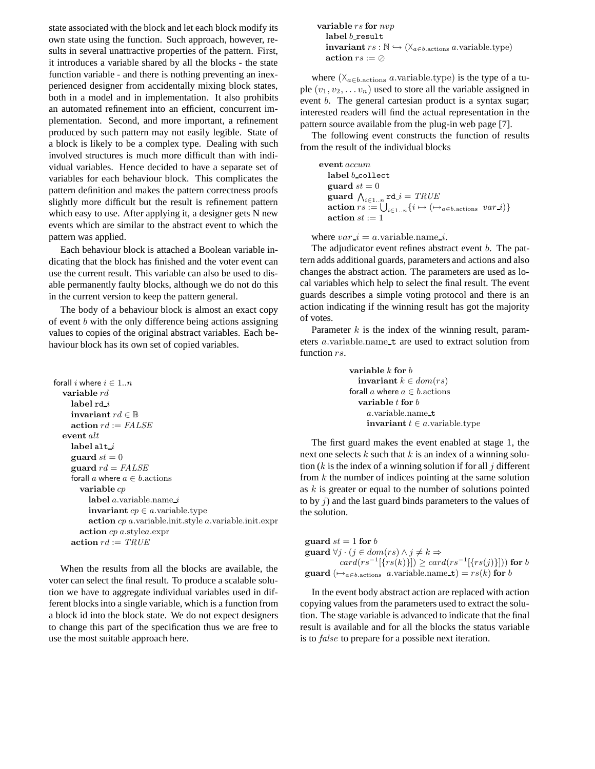state associated with the block and let each block modify its own state using the function. Such approach, however, results in several unattractive properties of the pattern. First, it introduces a variable shared by all the blocks - the state function variable - and there is nothing preventing an inexperienced designer from accidentally mixing block states, both in a model and in implementation. It also prohibits an automated refinement into an efficient, concurrent implementation. Second, and more important, a refinement produced by such pattern may not easily legible. State of a block is likely to be a complex type. Dealing with such involved structures is much more difficult than with individual variables. Hence decided to have a separate set of variables for each behaviour block. This complicates the pattern definition and makes the pattern correctness proofs slightly more difficult but the result is refinement pattern which easy to use. After applying it, a designer gets N new events which are similar to the abstract event to which the pattern was applied.

Each behaviour block is attached a Boolean variable indicating that the block has finished and the voter event can use the current result. This variable can also be used to disable permanently faulty blocks, although we do not do this in the current version to keep the pattern general.

The body of a behaviour block is almost an exact copy of event  $b$  with the only difference being actions assigning values to copies of the original abstract variables. Each behaviour block has its own set of copied variables.

forall i where  $i \in 1..n$ variable rd  $label$  <math>rd\_i</math> invariant  $rd \in \mathbb{B}$ action  $rd := FALSE$ event alt label alt $i$ guard  $st = 0$ guard  $rd = FALSE$ forall a where  $a \in b$  actions variable cp label *a*.variable.name *i* invariant  $cp \in a$ .variable.type action cp a.variable.init.style a.variable.init.expr action cp a.stylea.expr action  $rd := TRUE$ 

When the results from all the blocks are available, the voter can select the final result. To produce a scalable solution we have to aggregate individual variables used in different blocks into a single variable, which is a function from a block id into the block state. We do not expect designers to change this part of the specification thus we are free to use the most suitable approach here.

```
variable rs for nvp
   label b result
   invariant rs : \mathbb{N} \hookrightarrow (\mathbb{X}_{a \in b \text{.actions}} a \text{.variable}.type)action rs := \oslash
```
where ( $\chi_{a \in b \text{.actions}}$  a.variable.type) is the type of a tuple  $(v_1, v_2, \ldots v_n)$  used to store all the variable assigned in event b. The general cartesian product is a syntax sugar; interested readers will find the actual representation in the pattern source available from the plug-in web page [7].

The following event constructs the function of results from the result of the individual blocks

event accum label  $b$  collect guard  $st = 0$ guard  $\bigwedge_{i\in{1..n}}$ rd\_ $i= \mathit{TRUE}$  $\textbf{action } rs := \bigcup_{i \in 1..n} \{i \mapsto (\mapsto_{a \in b.\text{actions }} var\_i)\}$ action  $st := 1$ 

where  $var_i = a$  variable name i.

The adjudicator event refines abstract event  $b$ . The pattern adds additional guards, parameters and actions and also changes the abstract action. The parameters are used as local variables which help to select the final result. The event guards describes a simple voting protocol and there is an action indicating if the winning result has got the majority of votes.

Parameter  $k$  is the index of the winning result, parameters *a*.variable.name\_t are used to extract solution from function rs.

> variable  $k$  for  $b$ invariant  $k \in dom(rs)$ forall a where  $a \in b$  actions variable  $t$  for  $b$ a.variable.name t **invariant**  $t \in a$  variable.type

The first guard makes the event enabled at stage 1, the next one selects  $k$  such that  $k$  is an index of a winning solution  $(k$  is the index of a winning solution if for all  $j$  different from  $k$  the number of indices pointing at the same solution as k is greater or equal to the number of solutions pointed to by  $j$ ) and the last guard binds parameters to the values of the solution.

guard  $st = 1$  for b guard  $\forall j \cdot (j \in dom(rs) \land j \neq k \Rightarrow$  $card(rs^{-1}[\{rs(k)\}]) \geq card(rs^{-1}[\{rs(j)\}]))$  for b guard ( $\mapsto_{a\in b.\text{actions}} a.\text{variable}$ .name  $\mathbf{t}$ ) =  $rs(k)$  for b

In the event body abstract action are replaced with action copying values from the parameters used to extract the solution. The stage variable is advanced to indicate that the final result is available and for all the blocks the status variable is to false to prepare for a possible next iteration.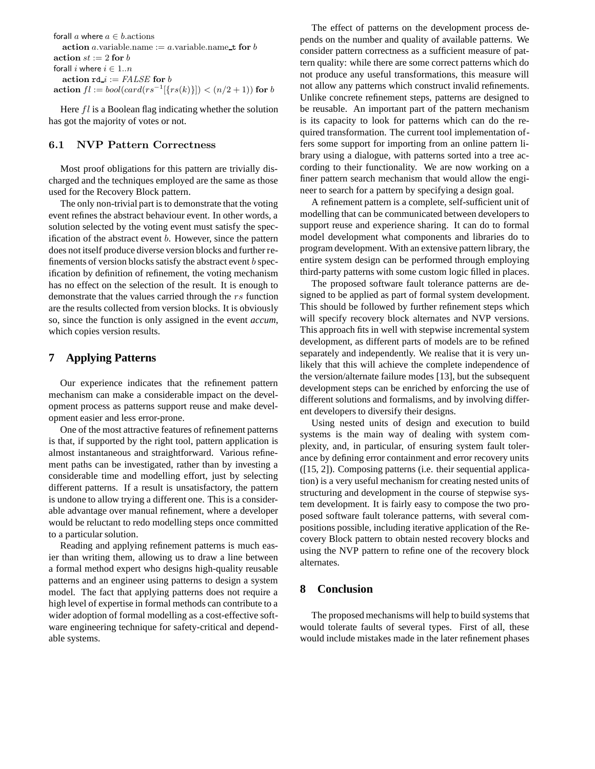forall a where  $a \in b$  actions action a.variable.name  $:= a$ .variable.name  $\pm$  for b action  $st := 2$  for  $b$ forall i where  $i \in 1..n$ action  $rd_i := FALSE$  for b **action**  $fl := bool(card(rs^{-1}[\{rs(k)\}]) < (n/2 + 1))$  for b

Here  $fl$  is a Boolean flag indicating whether the solution has got the majority of votes or not.

#### 6.1 NVP Pattern Correctness

Most proof obligations for this pattern are trivially discharged and the techniques employed are the same as those used for the Recovery Block pattern.

The only non-trivial part is to demonstrate that the voting event refines the abstract behaviour event. In other words, a solution selected by the voting event must satisfy the specification of the abstract event  $b$ . However, since the pattern does not itself produce diverse version blocks and further refinements of version blocks satisfy the abstract event  $b$  specification by definition of refinement, the voting mechanism has no effect on the selection of the result. It is enough to demonstrate that the values carried through the rs function are the results collected from version blocks. It is obviously so, since the function is only assigned in the event *accum*, which copies version results.

### **7 Applying Patterns**

Our experience indicates that the refinement pattern mechanism can make a considerable impact on the development process as patterns support reuse and make development easier and less error-prone.

One of the most attractive features of refinement patterns is that, if supported by the right tool, pattern application is almost instantaneous and straightforward. Various refinement paths can be investigated, rather than by investing a considerable time and modelling effort, just by selecting different patterns. If a result is unsatisfactory, the pattern is undone to allow trying a different one. This is a considerable advantage over manual refinement, where a developer would be reluctant to redo modelling steps once committed to a particular solution.

Reading and applying refinement patterns is much easier than writing them, allowing us to draw a line between a formal method expert who designs high-quality reusable patterns and an engineer using patterns to design a system model. The fact that applying patterns does not require a high level of expertise in formal methods can contribute to a wider adoption of formal modelling as a cost-effective software engineering technique for safety-critical and dependable systems.

The effect of patterns on the development process depends on the number and quality of available patterns. We consider pattern correctness as a sufficient measure of pattern quality: while there are some correct patterns which do not produce any useful transformations, this measure will not allow any patterns which construct invalid refinements. Unlike concrete refinement steps, patterns are designed to be reusable. An important part of the pattern mechanism is its capacity to look for patterns which can do the required transformation. The current tool implementation offers some support for importing from an online pattern library using a dialogue, with patterns sorted into a tree according to their functionality. We are now working on a finer pattern search mechanism that would allow the engineer to search for a pattern by specifying a design goal.

A refinement pattern is a complete, self-sufficient unit of modelling that can be communicated between developers to support reuse and experience sharing. It can do to formal model development what components and libraries do to program development. With an extensive pattern library, the entire system design can be performed through employing third-party patterns with some custom logic filled in places.

The proposed software fault tolerance patterns are designed to be applied as part of formal system development. This should be followed by further refinement steps which will specify recovery block alternates and NVP versions. This approach fits in well with stepwise incremental system development, as different parts of models are to be refined separately and independently. We realise that it is very unlikely that this will achieve the complete independence of the version/alternate failure modes [13], but the subsequent development steps can be enriched by enforcing the use of different solutions and formalisms, and by involving different developers to diversify their designs.

Using nested units of design and execution to build systems is the main way of dealing with system complexity, and, in particular, of ensuring system fault tolerance by defining error containment and error recovery units ([15, 2]). Composing patterns (i.e. their sequential application) is a very useful mechanism for creating nested units of structuring and development in the course of stepwise system development. It is fairly easy to compose the two proposed software fault tolerance patterns, with several compositions possible, including iterative application of the Recovery Block pattern to obtain nested recovery blocks and using the NVP pattern to refine one of the recovery block alternates.

#### **8 Conclusion**

The proposed mechanisms will help to build systems that would tolerate faults of several types. First of all, these would include mistakes made in the later refinement phases